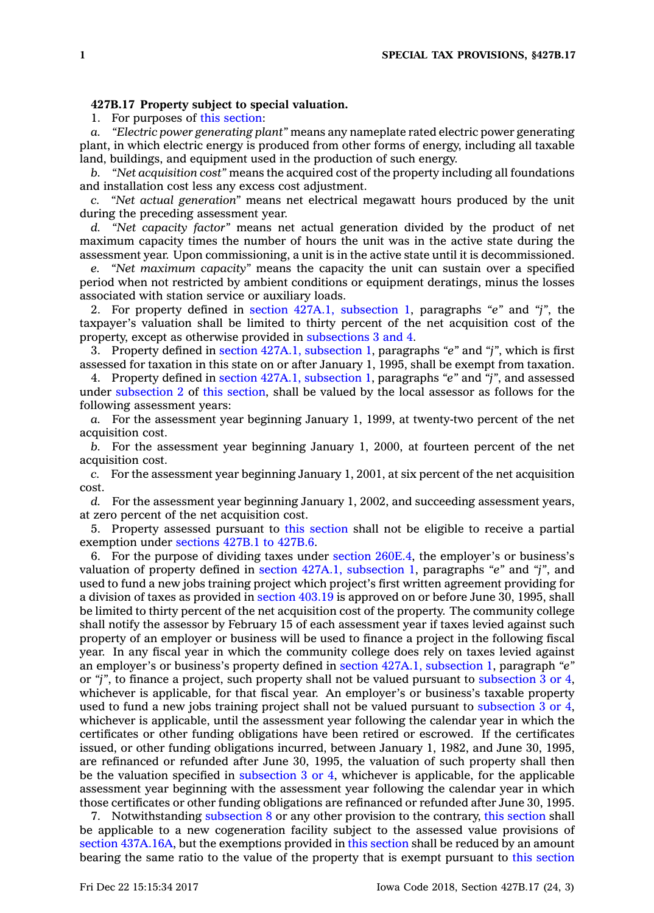## **427B.17 Property subject to special valuation.**

1. For purposes of this [section](https://www.legis.iowa.gov/docs/code/427B.17.pdf):

*a. "Electric power generating plant"* means any nameplate rated electric power generating plant, in which electric energy is produced from other forms of energy, including all taxable land, buildings, and equipment used in the production of such energy.

*b. "Net acquisition cost"* means the acquired cost of the property including all foundations and installation cost less any excess cost adjustment.

*c. "Net actual generation"* means net electrical megawatt hours produced by the unit during the preceding assessment year.

*d. "Net capacity factor"* means net actual generation divided by the product of net maximum capacity times the number of hours the unit was in the active state during the assessment year. Upon commissioning, <sup>a</sup> unit is in the active state until it is decommissioned.

*e. "Net maximum capacity"* means the capacity the unit can sustain over <sup>a</sup> specified period when not restricted by ambient conditions or equipment deratings, minus the losses associated with station service or auxiliary loads.

2. For property defined in section 427A.1, [subsection](https://www.legis.iowa.gov/docs/code/427A.1.pdf) 1, paragraphs *"e"* and *"j"*, the taxpayer's valuation shall be limited to thirty percent of the net acquisition cost of the property, except as otherwise provided in [subsections](https://www.legis.iowa.gov/docs/code/427B.17.pdf) 3 and 4.

3. Property defined in section 427A.1, [subsection](https://www.legis.iowa.gov/docs/code/427A.1.pdf) 1, paragraphs *"e"* and *"j"*, which is first assessed for taxation in this state on or after January 1, 1995, shall be exempt from taxation.

4. Property defined in section 427A.1, [subsection](https://www.legis.iowa.gov/docs/code/427A.1.pdf) 1, paragraphs *"e"* and *"j"*, and assessed under [subsection](https://www.legis.iowa.gov/docs/code/427B.17.pdf) 2 of this [section](https://www.legis.iowa.gov/docs/code/427B.17.pdf), shall be valued by the local assessor as follows for the following assessment years:

*a.* For the assessment year beginning January 1, 1999, at twenty-two percent of the net acquisition cost.

*b.* For the assessment year beginning January 1, 2000, at fourteen percent of the net acquisition cost.

*c.* For the assessment year beginning January 1, 2001, at six percent of the net acquisition cost.

*d.* For the assessment year beginning January 1, 2002, and succeeding assessment years, at zero percent of the net acquisition cost.

5. Property assessed pursuant to this [section](https://www.legis.iowa.gov/docs/code/427B.17.pdf) shall not be eligible to receive <sup>a</sup> partial exemption under [sections](https://www.legis.iowa.gov/docs/code/427B.1.pdf) 427B.1 to 427B.6.

6. For the purpose of dividing taxes under section [260E.4](https://www.legis.iowa.gov/docs/code/260E.4.pdf), the employer's or business's valuation of property defined in section 427A.1, [subsection](https://www.legis.iowa.gov/docs/code/427A.1.pdf) 1, paragraphs *"e"* and *"j"*, and used to fund <sup>a</sup> new jobs training project which project's first written agreement providing for <sup>a</sup> division of taxes as provided in [section](https://www.legis.iowa.gov/docs/code/403.19.pdf) 403.19 is approved on or before June 30, 1995, shall be limited to thirty percent of the net acquisition cost of the property. The community college shall notify the assessor by February 15 of each assessment year if taxes levied against such property of an employer or business will be used to finance <sup>a</sup> project in the following fiscal year. In any fiscal year in which the community college does rely on taxes levied against an employer's or business's property defined in section 427A.1, [subsection](https://www.legis.iowa.gov/docs/code/427A.1.pdf) 1, paragraph *"e"* or *"j"*, to finance <sup>a</sup> project, such property shall not be valued pursuant to [subsection](https://www.legis.iowa.gov/docs/code/427B.17.pdf) 3 or 4, whichever is applicable, for that fiscal year. An employer's or business's taxable property used to fund <sup>a</sup> new jobs training project shall not be valued pursuant to [subsection](https://www.legis.iowa.gov/docs/code/427B.17.pdf) 3 or 4, whichever is applicable, until the assessment year following the calendar year in which the certificates or other funding obligations have been retired or escrowed. If the certificates issued, or other funding obligations incurred, between January 1, 1982, and June 30, 1995, are refinanced or refunded after June 30, 1995, the valuation of such property shall then be the valuation specified in [subsection](https://www.legis.iowa.gov/docs/code/427B.17.pdf) 3 or 4, whichever is applicable, for the applicable assessment year beginning with the assessment year following the calendar year in which those certificates or other funding obligations are refinanced or refunded after June 30, 1995.

7. Notwithstanding [subsection](https://www.legis.iowa.gov/docs/code/427B.17.pdf) 8 or any other provision to the contrary, this [section](https://www.legis.iowa.gov/docs/code/427B.17.pdf) shall be applicable to <sup>a</sup> new cogeneration facility subject to the assessed value provisions of section [437A.16A](https://www.legis.iowa.gov/docs/code/437A.16A.pdf), but the exemptions provided in this [section](https://www.legis.iowa.gov/docs/code/427B.17.pdf) shall be reduced by an amount bearing the same ratio to the value of the property that is exempt pursuant to this [section](https://www.legis.iowa.gov/docs/code/427B.17.pdf)